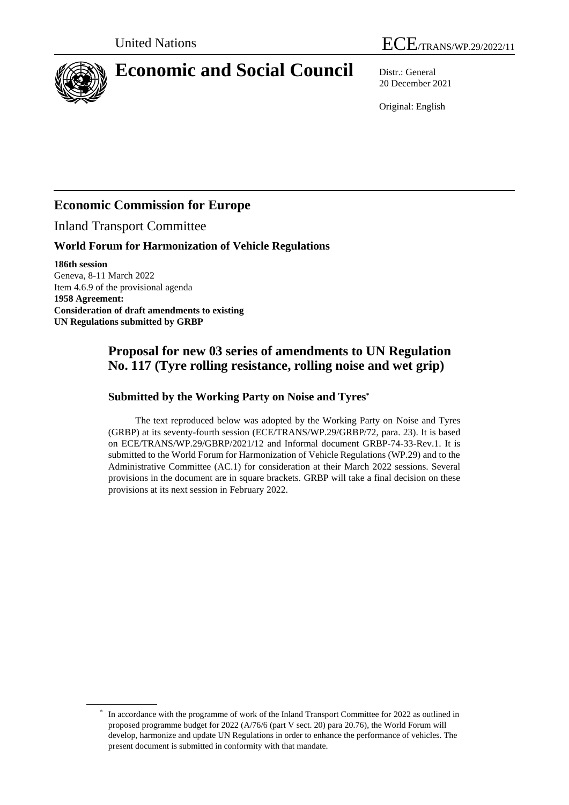



# **Economic and Social Council** Distr.: General

20 December 2021

Original: English

## **Economic Commission for Europe**

Inland Transport Committee

## **World Forum for Harmonization of Vehicle Regulations**

**186th session** Geneva, 8-11 March 2022 Item 4.6.9 of the provisional agenda **1958 Agreement: Consideration of draft amendments to existing UN Regulations submitted by GRBP**

## **Proposal for new 03 series of amendments to UN Regulation No. 117 (Tyre rolling resistance, rolling noise and wet grip)**

#### **Submitted by the Working Party on Noise and Tyres\***

The text reproduced below was adopted by the Working Party on Noise and Tyres (GRBP) at its seventy-fourth session (ECE/TRANS/WP.29/GRBP/72, para. 23). It is based on ECE/TRANS/WP.29/GBRP/2021/12 and Informal document GRBP-74-33-Rev.1. It is submitted to the World Forum for Harmonization of Vehicle Regulations (WP.29) and to the Administrative Committee (AC.1) for consideration at their March 2022 sessions. Several provisions in the document are in square brackets. GRBP will take a final decision on these provisions at its next session in February 2022.

<sup>\*</sup> In accordance with the programme of work of the Inland Transport Committee for 2022 as outlined in proposed programme budget for 2022 (A/76/6 (part V sect. 20) para 20.76), the World Forum will develop, harmonize and update UN Regulations in order to enhance the performance of vehicles. The present document is submitted in conformity with that mandate.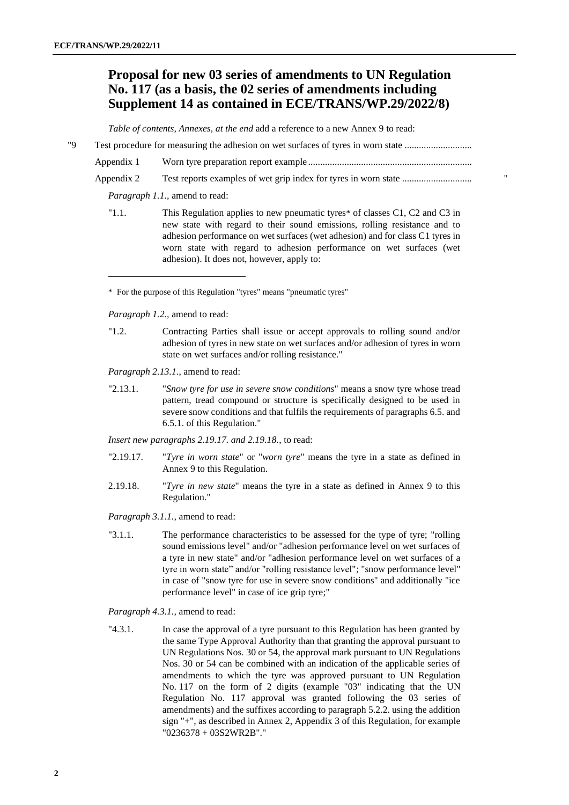## **Proposal for new 03 series of amendments to UN Regulation No. 117 (as a basis, the 02 series of amendments including Supplement 14 as contained in ECE/TRANS/WP.29/2022/8)**

*Table of contents, Annexes, at the end* add a reference to a new Annex 9 to read:

"9 Test procedure for measuring the adhesion on wet surfaces of tyres in worn state ............................ Appendix 1 Worn tyre preparation report example ....................................................................

Appendix 2 Test reports examples of wet grip index for tyres in worn state ............................. "

*Paragraph 1.1.,* amend to read:

"1.1. This Regulation applies to new pneumatic tyres\* of classes C1, C2 and C3 in new state with regard to their sound emissions, rolling resistance and to adhesion performance on wet surfaces (wet adhesion) and for class C1 tyres in worn state with regard to adhesion performance on wet surfaces (wet adhesion). It does not, however, apply to:

\* For the purpose of this Regulation "tyres" means "pneumatic tyres"

*Paragraph 1.2.,* amend to read:

"1.2. Contracting Parties shall issue or accept approvals to rolling sound and/or adhesion of tyres in new state on wet surfaces and/or adhesion of tyres in worn state on wet surfaces and/or rolling resistance."

*Paragraph 2.13.1.*, amend to read:

"2.13.1. "*Snow tyre for use in severe snow conditions*" means a snow tyre whose tread pattern, tread compound or structure is specifically designed to be used in severe snow conditions and that fulfils the requirements of paragraphs 6.5. and 6.5.1. of this Regulation."

*Insert new paragraphs 2.19.17. and 2.19.18.*, to read:

- "2.19.17. "*Tyre in worn state*" or "*worn tyre*" means the tyre in a state as defined in Annex 9 to this Regulation.
- 2.19.18. "*Tyre in new state*" means the tyre in a state as defined in Annex 9 to this Regulation."

*Paragraph 3.1.1.,* amend to read:

"3.1.1. The performance characteristics to be assessed for the type of tyre; "rolling sound emissions level" and/or "adhesion performance level on wet surfaces of a tyre in new state" and/or "adhesion performance level on wet surfaces of a tyre in worn state" and/or "rolling resistance level"; "snow performance level" in case of "snow tyre for use in severe snow conditions" and additionally "ice performance level" in case of ice grip tyre;"

*Paragraph 4.3.1.,* amend to read:

"4.3.1. In case the approval of a tyre pursuant to this Regulation has been granted by the same Type Approval Authority than that granting the approval pursuant to UN Regulations Nos. 30 or 54, the approval mark pursuant to UN Regulations Nos. 30 or 54 can be combined with an indication of the applicable series of amendments to which the tyre was approved pursuant to UN Regulation No. 117 on the form of 2 digits (example "03" indicating that the UN Regulation No. 117 approval was granted following the 03 series of amendments) and the suffixes according to paragraph 5.2.2. using the addition sign "+", as described in Annex 2, Appendix 3 of this Regulation, for example "0236378 + 03S2WR2B"."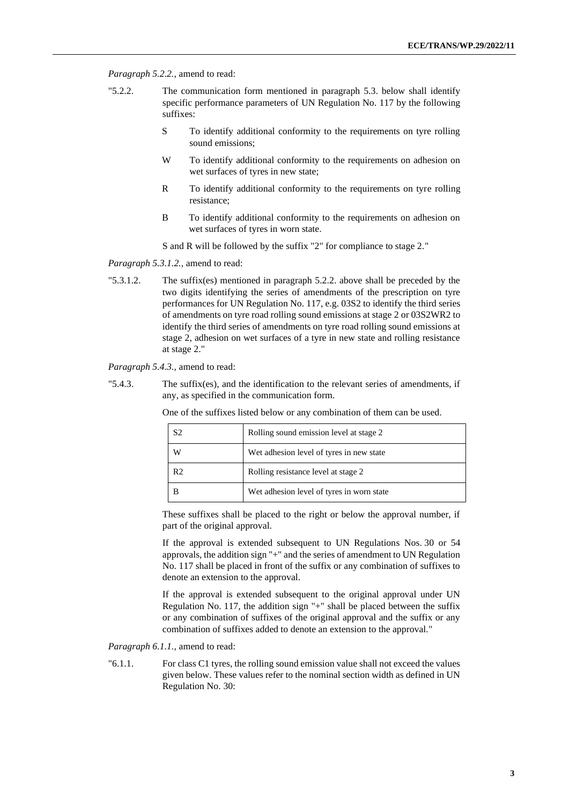*Paragraph 5.2.2.,* amend to read:

- "5.2.2. The communication form mentioned in paragraph 5.3. below shall identify specific performance parameters of UN Regulation No. 117 by the following suffixes:
	- S To identify additional conformity to the requirements on tyre rolling sound emissions;
	- W To identify additional conformity to the requirements on adhesion on wet surfaces of tyres in new state;
	- R To identify additional conformity to the requirements on tyre rolling resistance;
	- B To identify additional conformity to the requirements on adhesion on wet surfaces of tyres in worn state.

S and R will be followed by the suffix "2" for compliance to stage 2."

*Paragraph 5.3.1.2.,* amend to read:

"5.3.1.2. The suffix(es) mentioned in paragraph 5.2.2. above shall be preceded by the two digits identifying the series of amendments of the prescription on tyre performances for UN Regulation No. 117, e.g. 03S2 to identify the third series of amendments on tyre road rolling sound emissions at stage 2 or 03S2WR2 to identify the third series of amendments on tyre road rolling sound emissions at stage 2, adhesion on wet surfaces of a tyre in new state and rolling resistance at stage 2."

*Paragraph 5.4.3.,* amend to read:

"5.4.3. The suffix(es), and the identification to the relevant series of amendments, if any, as specified in the communication form.

One of the suffixes listed below or any combination of them can be used.

|                | Rolling sound emission level at stage 2   |
|----------------|-------------------------------------------|
| W              | Wet adhesion level of tyres in new state  |
| R <sub>2</sub> | Rolling resistance level at stage 2       |
|                | Wet adhesion level of tyres in worn state |

These suffixes shall be placed to the right or below the approval number, if part of the original approval.

If the approval is extended subsequent to UN Regulations Nos. 30 or 54 approvals, the addition sign "+" and the series of amendment to UN Regulation No. 117 shall be placed in front of the suffix or any combination of suffixes to denote an extension to the approval.

If the approval is extended subsequent to the original approval under UN Regulation No. 117, the addition sign "+" shall be placed between the suffix or any combination of suffixes of the original approval and the suffix or any combination of suffixes added to denote an extension to the approval."

*Paragraph 6.1.1.,* amend to read:

"6.1.1. For class C1 tyres, the rolling sound emission value shall not exceed the values given below. These values refer to the nominal section width as defined in UN Regulation No. 30: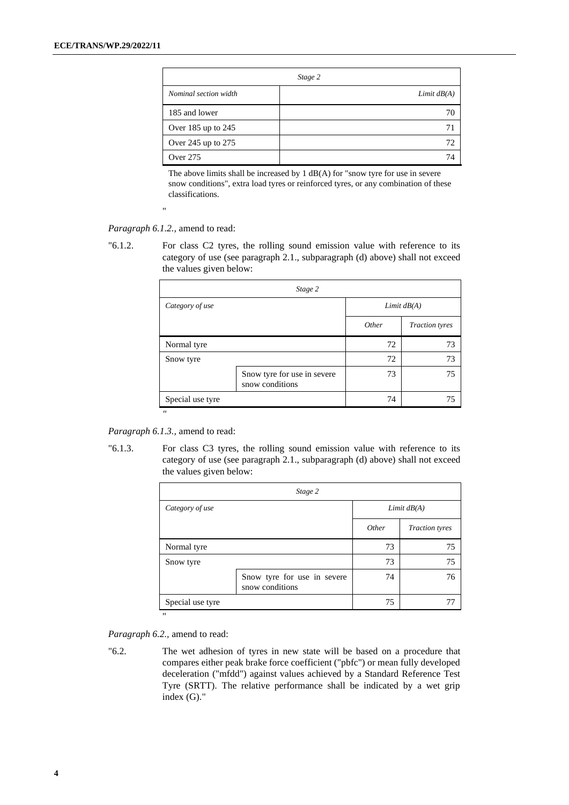|                       | Stage 2       |
|-----------------------|---------------|
| Nominal section width | Limit $dB(A)$ |
| 185 and lower         | 70            |
| Over 185 up to 245    | 71            |
| Over 245 up to 275    | 72            |
| Over 275              | 74            |

The above limits shall be increased by 1 dB(A) for "snow tyre for use in severe snow conditions", extra load tyres or reinforced tyres, or any combination of these classifications.

"

*Paragraph 6.1.2.,* amend to read:

"6.1.2. For class C2 tyres, the rolling sound emission value with reference to its category of use (see paragraph 2.1., subparagraph (d) above) shall not exceed the values given below:

| Stage 2           |                                                |               |                       |  |  |  |
|-------------------|------------------------------------------------|---------------|-----------------------|--|--|--|
| Category of use   |                                                | Limit $dB(A)$ |                       |  |  |  |
|                   |                                                | Other         | <b>Traction</b> tyres |  |  |  |
| Normal tyre       |                                                | 72            | 73                    |  |  |  |
| Snow tyre         |                                                |               | 73                    |  |  |  |
|                   | Snow tyre for use in severe<br>snow conditions | 73            | 75                    |  |  |  |
| Special use tyre  |                                                | 74            | 75                    |  |  |  |
| $^{\prime\prime}$ |                                                |               |                       |  |  |  |

*Paragraph 6.1.3.,* amend to read:

"6.1.3. For class C3 tyres, the rolling sound emission value with reference to its category of use (see paragraph 2.1., subparagraph (d) above) shall not exceed the values given below:

| Other | Limit $dB(A)$<br><b>Traction</b> tyres |
|-------|----------------------------------------|
|       |                                        |
|       |                                        |
| 73    | 75                                     |
| 73    | 75                                     |
| 74    | 76                                     |
| 75    | 77                                     |
|       |                                        |

*Paragraph 6.2.,* amend to read:

"6.2. The wet adhesion of tyres in new state will be based on a procedure that compares either peak brake force coefficient ("pbfc") or mean fully developed deceleration ("mfdd") against values achieved by a Standard Reference Test Tyre (SRTT). The relative performance shall be indicated by a wet grip index (G)."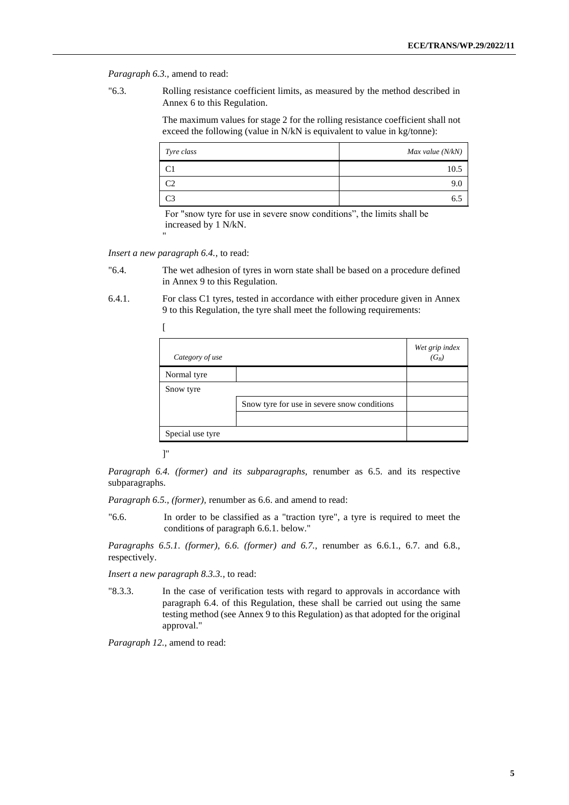*Paragraph 6.3.,* amend to read:

"6.3. Rolling resistance coefficient limits, as measured by the method described in Annex 6 to this Regulation.

> The maximum values for stage 2 for the rolling resistance coefficient shall not exceed the following (value in N/kN is equivalent to value in kg/tonne):

| Tyre class | Max value $(N/kN)$ |
|------------|--------------------|
| C          | 10.5               |
| ൚          | 9.0                |
|            | 6.5                |

For "snow tyre for use in severe snow conditions", the limits shall be increased by 1 N/kN.

*Insert a new paragraph 6.4.*, to read:

"

- "6.4. The wet adhesion of tyres in worn state shall be based on a procedure defined in Annex 9 to this Regulation.
- 6.4.1. For class C1 tyres, tested in accordance with either procedure given in Annex 9 to this Regulation, the tyre shall meet the following requirements:

| Category of use  |                                             | Wet grip index<br>$(G_B)$ |
|------------------|---------------------------------------------|---------------------------|
| Normal tyre      |                                             |                           |
| Snow tyre        |                                             |                           |
|                  | Snow tyre for use in severe snow conditions |                           |
|                  |                                             |                           |
| Special use tyre |                                             |                           |

]"

*Paragraph 6.4. (former) and its subparagraphs,* renumber as 6.5. and its respective subparagraphs.

*Paragraph 6.5., (former),* renumber as 6.6. and amend to read:

"6.6. In order to be classified as a "traction tyre", a tyre is required to meet the conditions of paragraph 6.6.1. below."

*Paragraphs 6.5.1. (former), 6.6. (former) and 6.7.,* renumber as 6.6.1., 6.7. and 6.8., respectively.

*Insert a new paragraph 8.3.3.*, to read:

"8.3.3. In the case of verification tests with regard to approvals in accordance with paragraph 6.4. of this Regulation, these shall be carried out using the same testing method (see Annex 9 to this Regulation) as that adopted for the original approval."

*Paragraph 12.,* amend to read: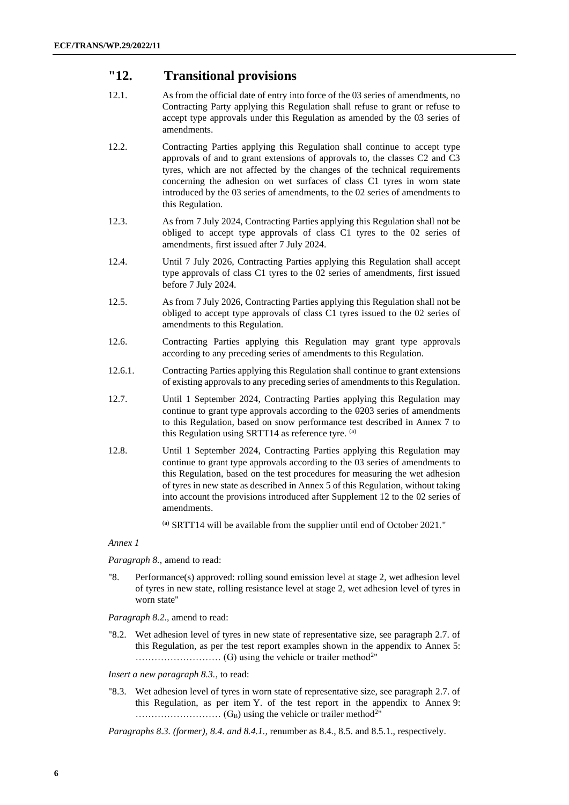### **"12. Transitional provisions**

- 12.1. As from the official date of entry into force of the 03 series of amendments, no Contracting Party applying this Regulation shall refuse to grant or refuse to accept type approvals under this Regulation as amended by the 03 series of amendments.
- 12.2. Contracting Parties applying this Regulation shall continue to accept type approvals of and to grant extensions of approvals to, the classes C2 and C3 tyres, which are not affected by the changes of the technical requirements concerning the adhesion on wet surfaces of class C1 tyres in worn state introduced by the 03 series of amendments, to the 02 series of amendments to this Regulation.
- 12.3. As from 7 July 2024, Contracting Parties applying this Regulation shall not be obliged to accept type approvals of class C1 tyres to the 02 series of amendments, first issued after 7 July 2024.
- 12.4. Until 7 July 2026, Contracting Parties applying this Regulation shall accept type approvals of class C1 tyres to the 02 series of amendments, first issued before 7 July 2024.
- 12.5. As from 7 July 2026, Contracting Parties applying this Regulation shall not be obliged to accept type approvals of class C1 tyres issued to the 02 series of amendments to this Regulation.
- 12.6. Contracting Parties applying this Regulation may grant type approvals according to any preceding series of amendments to this Regulation.
- 12.6.1. Contracting Parties applying this Regulation shall continue to grant extensions of existing approvals to any preceding series of amendments to this Regulation.
- 12.7. Until 1 September 2024, Contracting Parties applying this Regulation may continue to grant type approvals according to the  $\theta$ 203 series of amendments to this Regulation, based on snow performance test described in Annex 7 to this Regulation using SRTT14 as reference tyre. (a)
- 12.8. Until 1 September 2024, Contracting Parties applying this Regulation may continue to grant type approvals according to the 03 series of amendments to this Regulation, based on the test procedures for measuring the wet adhesion of tyres in new state as described in Annex 5 of this Regulation, without taking into account the provisions introduced after Supplement 12 to the 02 series of amendments.
	- (a) SRTT14 will be available from the supplier until end of October 2021."

*Annex 1*

*Paragraph 8.,* amend to read:

"8. Performance(s) approved: rolling sound emission level at stage 2, wet adhesion level of tyres in new state, rolling resistance level at stage 2, wet adhesion level of tyres in worn state"

*Paragraph 8.2.,* amend to read:

"8.2. Wet adhesion level of tyres in new state of representative size, see paragraph 2.7. of this Regulation, as per the test report examples shown in the appendix to Annex 5: ……………………… (G) using the vehicle or trailer method<sup>2</sup> "

*Insert a new paragraph 8.3.*, to read:

"8.3. Wet adhesion level of tyres in worn state of representative size, see paragraph 2.7. of this Regulation, as per item Y. of the test report in the appendix to Annex 9: ……………………… (GB) using the vehicle or trailer method<sup>2</sup> "

*Paragraphs 8.3. (former), 8.4. and 8.4.1.,* renumber as 8.4., 8.5. and 8.5.1., respectively.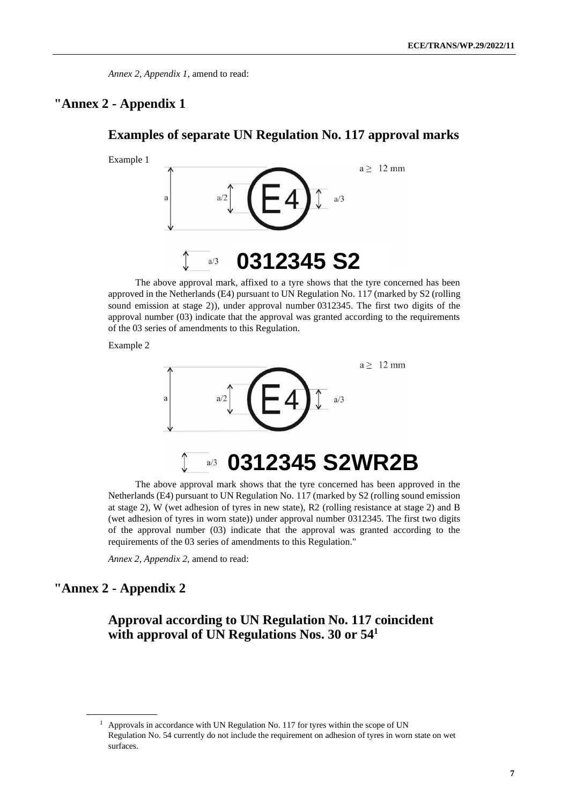## **"Annex 2 - Appendix 1**

#### **Examples of separate UN Regulation No. 117 approval marks**



The above approval mark, affixed to a tyre shows that the tyre concerned has been approved in the Netherlands (E4) pursuant to UN Regulation No. 117 (marked by S2 (rolling sound emission at stage 2)), under approval number 0312345. The first two digits of the approval number (03) indicate that the approval was granted according to the requirements of the 03 series of amendments to this Regulation.

Example 2



The above approval mark shows that the tyre concerned has been approved in the Netherlands (E4) pursuant to UN Regulation No. 117 (marked by S2 (rolling sound emission at stage 2), W (wet adhesion of tyres in new state), R2 (rolling resistance at stage 2) and B (wet adhesion of tyres in worn state)) under approval number 0312345. The first two digits of the approval number (03) indicate that the approval was granted according to the requirements of the 03 series of amendments to this Regulation."

*Annex 2, Appendix 2,* amend to read:

#### **"Annex 2 - Appendix 2**

### **Approval according to UN Regulation No. 117 coincident with approval of UN Regulations Nos. 30 or 54<sup>1</sup>**

<sup>&</sup>lt;sup>1</sup> Approvals in accordance with UN Regulation No. 117 for tyres within the scope of UN Regulation No. 54 currently do not include the requirement on adhesion of tyres in worn state on wet surfaces.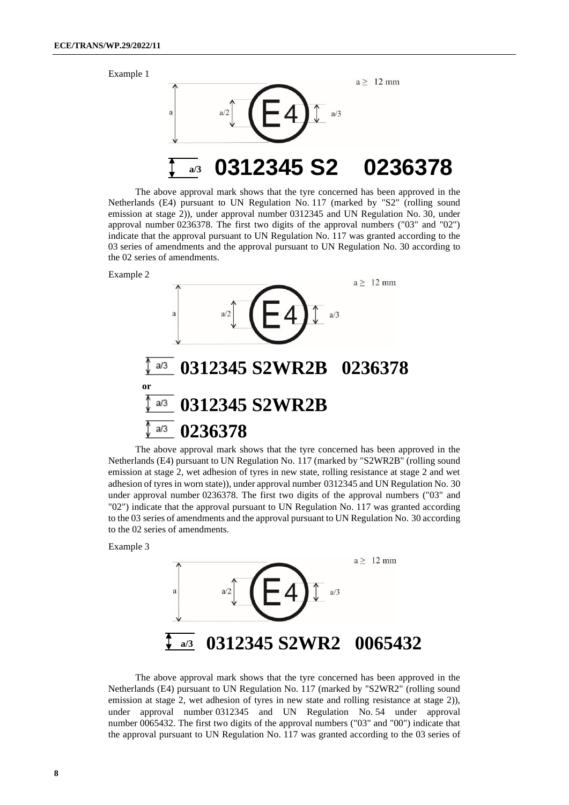Example 1



The above approval mark shows that the tyre concerned has been approved in the Netherlands (E4) pursuant to UN Regulation No. 117 (marked by "S2" (rolling sound emission at stage 2)), under approval number 0312345 and UN Regulation No. 30, under approval number 0236378. The first two digits of the approval numbers ("03" and "02") indicate that the approval pursuant to UN Regulation No. 117 was granted according to the 03 series of amendments and the approval pursuant to UN Regulation No. 30 according to the 02 series of amendments.





The above approval mark shows that the tyre concerned has been approved in the Netherlands (E4) pursuant to UN Regulation No. 117 (marked by "S2WR2B" (rolling sound emission at stage 2, wet adhesion of tyres in new state, rolling resistance at stage 2 and wet adhesion of tyres in worn state)), under approval number 0312345 and UN Regulation No. 30 under approval number 0236378. The first two digits of the approval numbers ("03" and "02") indicate that the approval pursuant to UN Regulation No. 117 was granted according to the 03 series of amendments and the approval pursuant to UN Regulation No. 30 according to the 02 series of amendments.

Example 3



The above approval mark shows that the tyre concerned has been approved in the Netherlands (E4) pursuant to UN Regulation No. 117 (marked by "S2WR2" (rolling sound emission at stage 2, wet adhesion of tyres in new state and rolling resistance at stage 2)), under approval number 0312345 and UN Regulation No. 54 under approval number 0065432. The first two digits of the approval numbers ("03" and "00") indicate that the approval pursuant to UN Regulation No. 117 was granted according to the 03 series of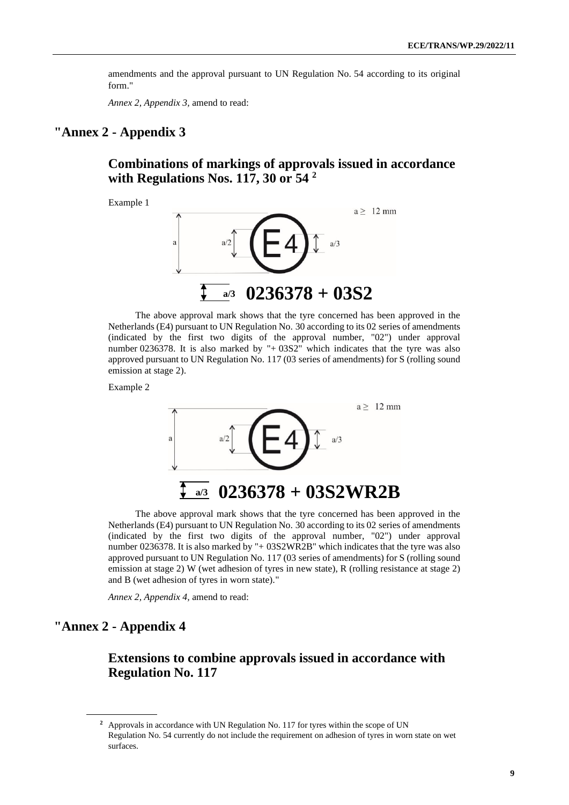amendments and the approval pursuant to UN Regulation No. 54 according to its original form."

*Annex 2, Appendix 3,* amend to read:

### **"Annex 2 - Appendix 3**

**Combinations of markings of approvals issued in accordance with Regulations Nos. 117, 30 or 54 <sup>2</sup>**

Example 1



The above approval mark shows that the tyre concerned has been approved in the Netherlands (E4) pursuant to UN Regulation No. 30 according to its 02 series of amendments (indicated by the first two digits of the approval number, "02") under approval number 0236378. It is also marked by "+ 03S2" which indicates that the tyre was also approved pursuant to UN Regulation No. 117 (03 series of amendments) for S (rolling sound emission at stage 2).

Example 2



The above approval mark shows that the tyre concerned has been approved in the Netherlands (E4) pursuant to UN Regulation No. 30 according to its 02 series of amendments (indicated by the first two digits of the approval number, "02") under approval number 0236378. It is also marked by "+ 03S2WR2B" which indicates that the tyre was also approved pursuant to UN Regulation No. 117 (03 series of amendments) for S (rolling sound emission at stage 2) W (wet adhesion of tyres in new state), R (rolling resistance at stage 2) and B (wet adhesion of tyres in worn state)."

*Annex 2, Appendix 4,* amend to read:

### **"Annex 2 - Appendix 4**

### **Extensions to combine approvals issued in accordance with Regulation No. 117**

**<sup>2</sup>** Approvals in accordance with UN Regulation No. 117 for tyres within the scope of UN Regulation No. 54 currently do not include the requirement on adhesion of tyres in worn state on wet surfaces.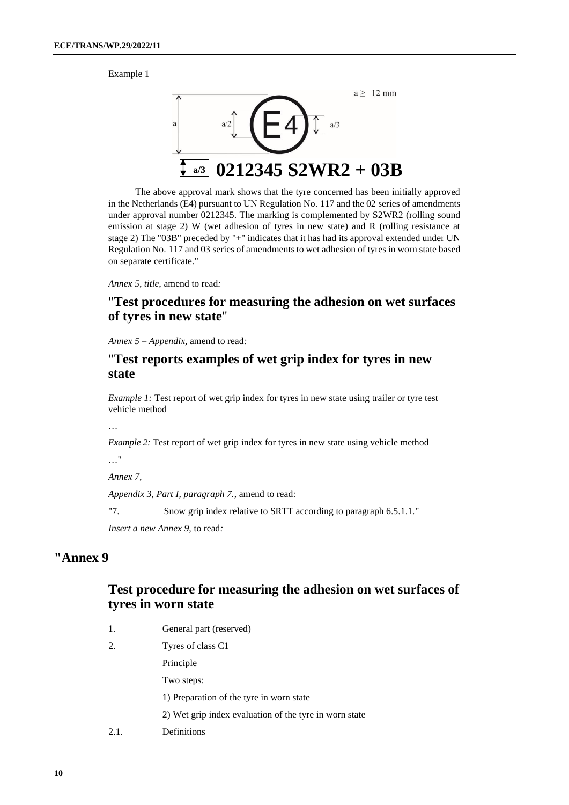Example 1



The above approval mark shows that the tyre concerned has been initially approved in the Netherlands (E4) pursuant to UN Regulation No. 117 and the 02 series of amendments under approval number 0212345. The marking is complemented by S2WR2 (rolling sound emission at stage 2) W (wet adhesion of tyres in new state) and R (rolling resistance at stage 2) The "03B" preceded by "+" indicates that it has had its approval extended under UN Regulation No. 117 and 03 series of amendments to wet adhesion of tyres in worn state based on separate certificate."

*Annex 5, title,* amend to read*:*

### "**Test procedures for measuring the adhesion on wet surfaces of tyres in new state**"

*Annex 5 – Appendix,* amend to read*:*

#### "**Test reports examples of wet grip index for tyres in new state**

*Example 1:* Test report of wet grip index for tyres in new state using trailer or tyre test vehicle method

…

*Example 2:* Test report of wet grip index for tyres in new state using vehicle method

…"

*Annex 7,* 

*Appendix 3, Part I, paragraph 7.*, amend to read:

"7. Snow grip index relative to SRTT according to paragraph 6.5.1.1."

*Insert a new Annex 9,* to read*:*

#### **"Annex 9**

#### **Test procedure for measuring the adhesion on wet surfaces of tyres in worn state**

- 1. General part (reserved)
- 2. Tyres of class C1

Principle

Two steps:

1) Preparation of the tyre in worn state

- 2) Wet grip index evaluation of the tyre in worn state
- 2.1. Definitions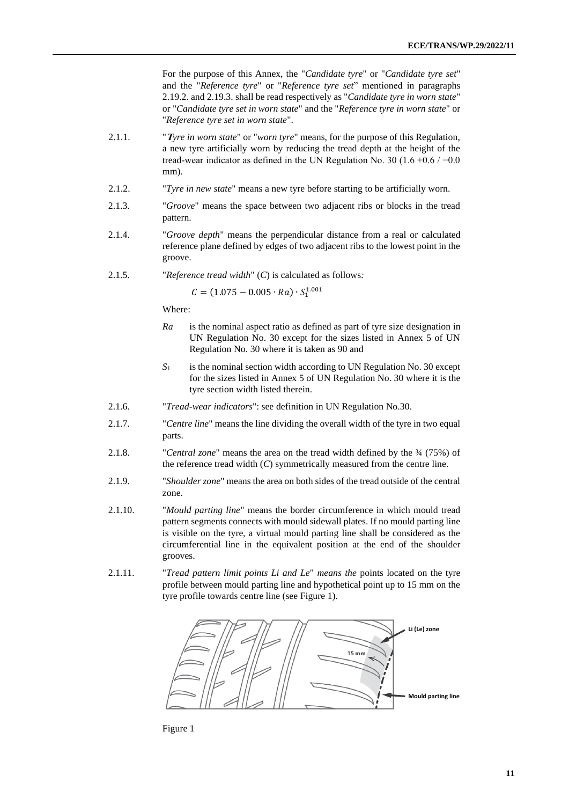For the purpose of this Annex, the "*Candidate tyre*" or "*Candidate tyre set*" and the "*Reference tyre*" or "*Reference tyre set*" mentioned in paragraphs 2.19.2. and 2.19.3. shall be read respectively as "*Candidate tyre in worn state*" or "*Candidate tyre set in worn state*" and the "*Reference tyre in worn state*" or "*Reference tyre set in worn state*".

- 2.1.1. "**T***yre in worn state*" or "*worn tyre*" means, for the purpose of this Regulation, a new tyre artificially worn by reducing the tread depth at the height of the tread-wear indicator as defined in the UN Regulation No. 30 (1.6 +0.6 /  $-0.0$ ) mm).
- 2.1.2. "*Tyre in new state*" means a new tyre before starting to be artificially worn.
- 2.1.3. "*Groove*" means the space between two adjacent ribs or blocks in the tread pattern.
- 2.1.4. "*Groove depth*" means the perpendicular distance from a real or calculated reference plane defined by edges of two adjacent ribs to the lowest point in the groove.
- 2.1.5. "*Reference tread width*" (*C*) is calculated as follows*:*

 $C = (1.075 - 0.005 \cdot Ra) \cdot S_1^{1.001}$ 

Where:

- *Ra* is the nominal aspect ratio as defined as part of tyre size designation in UN Regulation No. 30 except for the sizes listed in Annex 5 of UN Regulation No. 30 where it is taken as 90 and
- *S*<sub>1</sub> is the nominal section width according to UN Regulation No. 30 except for the sizes listed in Annex 5 of UN Regulation No. 30 where it is the tyre section width listed therein.
- 2.1.6. "*Tread-wear indicators*": see definition in UN Regulation No.30.
- 2.1.7. "*Centre line*" means the line dividing the overall width of the tyre in two equal parts.
- 2.1.8. "*Central zone*" means the area on the tread width defined by the ¾ (75%) of the reference tread width (*C*) symmetrically measured from the centre line.
- 2.1.9. "*Shoulder zone*" means the area on both sides of the tread outside of the central zone.
- 2.1.10. "*Mould parting line*" means the border circumference in which mould tread pattern segments connects with mould sidewall plates. If no mould parting line is visible on the tyre, a virtual mould parting line shall be considered as the circumferential line in the equivalent position at the end of the shoulder grooves.
- 2.1.11. "*Tread pattern limit points Li and Le*" *means the* points located on the tyre profile between mould parting line and hypothetical point up to 15 mm on the tyre profile towards centre line (see Figure 1).



Figure 1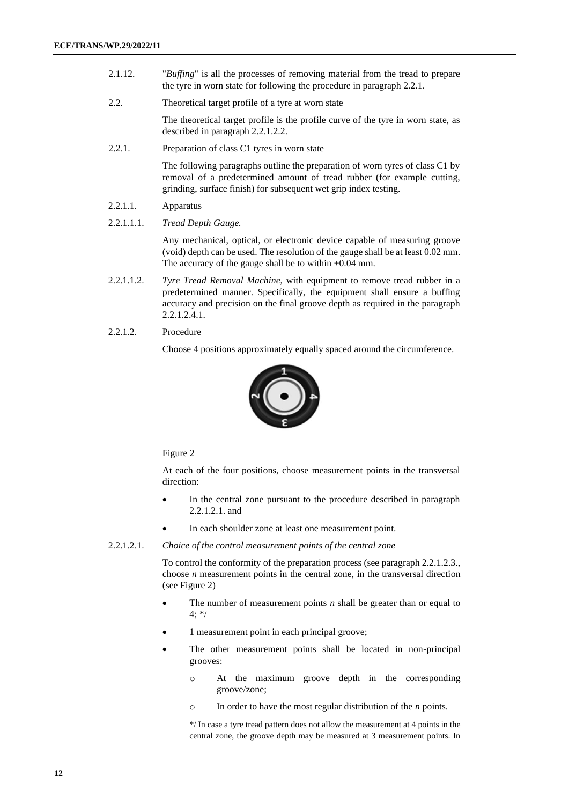- 2.1.12. "*Buffing*" is all the processes of removing material from the tread to prepare the tyre in worn state for following the procedure in paragraph 2.2.1.
- 2.2. Theoretical target profile of a tyre at worn state

The theoretical target profile is the profile curve of the tyre in worn state, as described in paragraph 2.2.1.2.2.

2.2.1. Preparation of class C1 tyres in worn state

The following paragraphs outline the preparation of worn tyres of class C1 by removal of a predetermined amount of tread rubber (for example cutting, grinding, surface finish) for subsequent wet grip index testing.

- 2.2.1.1. Apparatus
- 2.2.1.1.1. *Tread Depth Gauge.*

Any mechanical, optical, or electronic device capable of measuring groove (void) depth can be used. The resolution of the gauge shall be at least 0.02 mm. The accuracy of the gauge shall be to within  $\pm 0.04$  mm.

- 2.2.1.1.2. *Tyre Tread Removal Machine,* with equipment to remove tread rubber in a predetermined manner. Specifically, the equipment shall ensure a buffing accuracy and precision on the final groove depth as required in the paragraph 2.2.1.2.4.1.
- 2.2.1.2. Procedure

Choose 4 positions approximately equally spaced around the circumference.



#### Figure 2

At each of the four positions, choose measurement points in the transversal direction:

- In the central zone pursuant to the procedure described in paragraph 2.2.1.2.1. and
- In each shoulder zone at least one measurement point.

#### 2.2.1.2.1. *Choice of the control measurement points of the central zone*

To control the conformity of the preparation process (see paragraph 2.2.1.2.3., choose *n* measurement points in the central zone, in the transversal direction (see Figure 2)

- The number of measurement points  $n$  shall be greater than or equal to  $4:$  \*/
- 1 measurement point in each principal groove;
- The other measurement points shall be located in non-principal grooves:
	- o At the maximum groove depth in the corresponding groove/zone;
	- o In order to have the most regular distribution of the *n* points.

\*/ In case a tyre tread pattern does not allow the measurement at 4 points in the central zone, the groove depth may be measured at 3 measurement points. In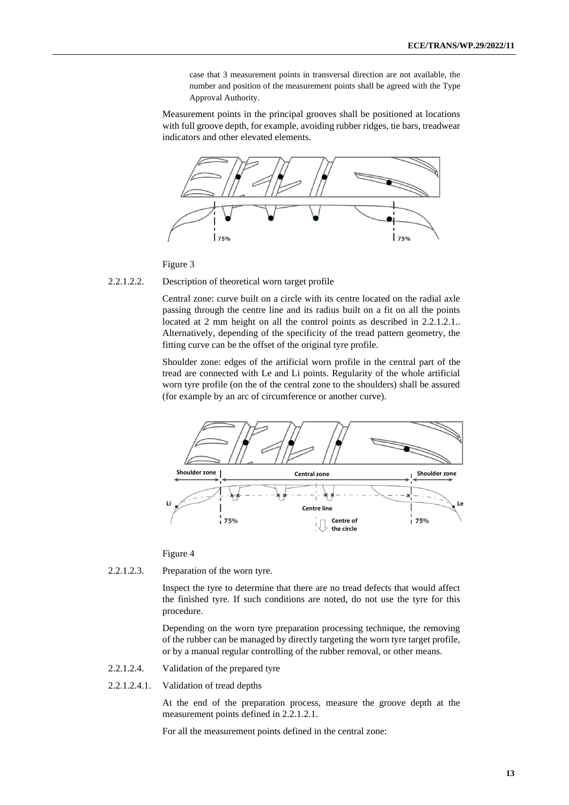case that 3 measurement points in transversal direction are not available, the number and position of the measurement points shall be agreed with the Type Approval Authority.

Measurement points in the principal grooves shall be positioned at locations with full groove depth, for example, avoiding rubber ridges, tie bars, treadwear indicators and other elevated elements.



Figure 3

#### 2.2.1.2.2. Description of theoretical worn target profile

Central zone: curve built on a circle with its centre located on the radial axle passing through the centre line and its radius built on a fit on all the points located at 2 mm height on all the control points as described in 2.2.1.2.1. Alternatively, depending of the specificity of the tread pattern geometry, the fitting curve can be the offset of the original tyre profile.

Shoulder zone: edges of the artificial worn profile in the central part of the tread are connected with Le and Li points. Regularity of the whole artificial worn tyre profile (on the of the central zone to the shoulders) shall be assured (for example by an arc of circumference or another curve).



#### Figure 4

2.2.1.2.3. Preparation of the worn tyre.

Inspect the tyre to determine that there are no tread defects that would affect the finished tyre. If such conditions are noted, do not use the tyre for this procedure.

Depending on the worn tyre preparation processing technique, the removing of the rubber can be managed by directly targeting the worn tyre target profile, or by a manual regular controlling of the rubber removal, or other means.

- 2.2.1.2.4. Validation of the prepared tyre
- 2.2.1.2.4.1. Validation of tread depths

At the end of the preparation process, measure the groove depth at the measurement points defined in 2.2.1.2.1.

For all the measurement points defined in the central zone: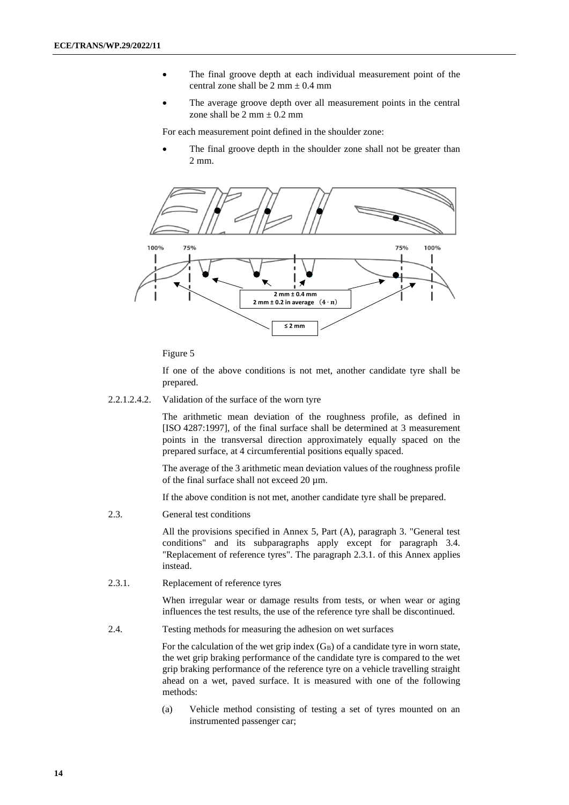- The final groove depth at each individual measurement point of the central zone shall be  $2 \text{ mm} \pm 0.4 \text{ mm}$
- The average groove depth over all measurement points in the central zone shall be  $2 \text{ mm} \pm 0.2 \text{ mm}$

For each measurement point defined in the shoulder zone:

The final groove depth in the shoulder zone shall not be greater than 2 mm.



Figure 5

If one of the above conditions is not met, another candidate tyre shall be prepared.

2.2.1.2.4.2. Validation of the surface of the worn tyre

The arithmetic mean deviation of the roughness profile, as defined in [ISO 4287:1997], of the final surface shall be determined at 3 measurement points in the transversal direction approximately equally spaced on the prepared surface, at 4 circumferential positions equally spaced.

The average of the 3 arithmetic mean deviation values of the roughness profile of the final surface shall not exceed 20 µm.

If the above condition is not met, another candidate tyre shall be prepared.

2.3. General test conditions

All the provisions specified in Annex 5, Part (A), paragraph 3. "General test conditions" and its subparagraphs apply except for paragraph 3.4. "Replacement of reference tyres". The paragraph 2.3.1. of this Annex applies instead.

2.3.1. Replacement of reference tyres

When irregular wear or damage results from tests, or when wear or aging influences the test results, the use of the reference tyre shall be discontinued.

2.4. Testing methods for measuring the adhesion on wet surfaces

For the calculation of the wet grip index  $(G_B)$  of a candidate tyre in worn state, the wet grip braking performance of the candidate tyre is compared to the wet grip braking performance of the reference tyre on a vehicle travelling straight ahead on a wet, paved surface. It is measured with one of the following methods:

(a) Vehicle method consisting of testing a set of tyres mounted on an instrumented passenger car;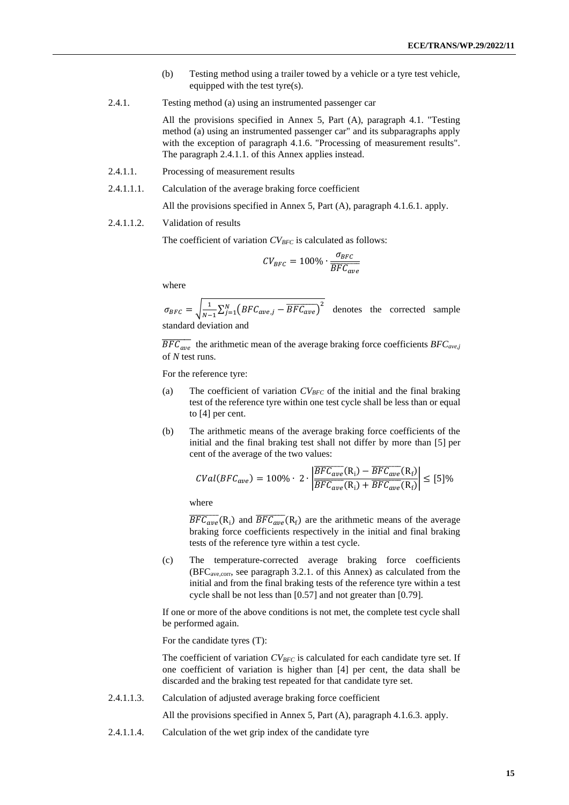- (b) Testing method using a trailer towed by a vehicle or a tyre test vehicle, equipped with the test tyre(s).
- 2.4.1. Testing method (a) using an instrumented passenger car

All the provisions specified in Annex 5, Part (A), paragraph 4.1. "Testing method (a) using an instrumented passenger car" and its subparagraphs apply with the exception of paragraph 4.1.6. "Processing of measurement results". The paragraph 2.4.1.1. of this Annex applies instead.

- 2.4.1.1. Processing of measurement results
- 2.4.1.1.1. Calculation of the average braking force coefficient

All the provisions specified in Annex 5, Part (A), paragraph 4.1.6.1. apply.

#### 2.4.1.1.2. Validation of results

The coefficient of variation *CVBFC* is calculated as follows:

$$
CV_{BFC} = 100\% \cdot \frac{\sigma_{BFC}}{\overline{BFC_{ave}}}
$$

where

 $\sigma_{BFC} = \sqrt{\frac{1}{N-1}}$  $\frac{1}{N-1} \sum_{j=1}^{N} (BFC_{ave,j} - \overline{BFC_{ave}})^2$  denotes the corrected sample standard deviation and

 $\overline{BFC_{ave}}$  the arithmetic mean of the average braking force coefficients  $BFC_{ave,j}$ of *N* test runs.

For the reference tyre:

- (a) The coefficient of variation  $CV_{BFC}$  of the initial and the final braking test of the reference tyre within one test cycle shall be less than or equal to [4] per cent.
- (b) The arithmetic means of the average braking force coefficients of the initial and the final braking test shall not differ by more than [5] per cent of the average of the two values:

$$
CVal(BFC_{ave}) = 100\% \cdot 2 \cdot \left| \frac{\overline{BFC_{ave}}(R_i) - \overline{BFC_{ave}}(R_f)}{\overline{BFC_{ave}}(R_i) + \overline{BFC_{ave}}(R_f)} \right| \le [5]\%
$$

where

 $\overline{BFC_{ave}}(R_i)$  and  $\overline{BFC_{ave}}(R_f)$  are the arithmetic means of the average braking force coefficients respectively in the initial and final braking tests of the reference tyre within a test cycle.

(c) The temperature-corrected average braking force coefficients  $(BFC<sub>ave.corr</sub>$ , see paragraph 3.2.1. of this Annex) as calculated from the initial and from the final braking tests of the reference tyre within a test cycle shall be not less than [0.57] and not greater than [0.79].

If one or more of the above conditions is not met, the complete test cycle shall be performed again.

For the candidate tyres (T):

The coefficient of variation  $CV_{BFC}$  is calculated for each candidate tyre set. If one coefficient of variation is higher than [4] per cent, the data shall be discarded and the braking test repeated for that candidate tyre set.

2.4.1.1.3. Calculation of adjusted average braking force coefficient

All the provisions specified in Annex 5, Part (A), paragraph 4.1.6.3. apply.

2.4.1.1.4. Calculation of the wet grip index of the candidate tyre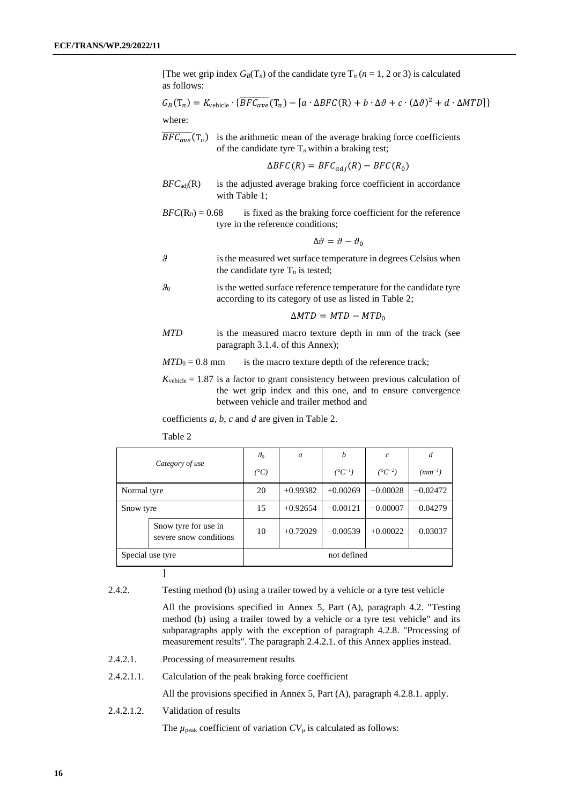[The wet grip index  $G_B(T_n)$  of the candidate tyre  $T_n$  ( $n = 1, 2$  or 3) is calculated as follows:

$$
G_B(T_n) = K_{\text{vehicle}} \cdot \{ \overline{BFC_{ave}}(T_n) - [a \cdot \Delta BFC(R) + b \cdot \Delta \vartheta + c \cdot (\Delta \vartheta)^2 + d \cdot \Delta MTD] \}
$$
  
where:

 $\overline{BFC_{ave}}(T_n)$  is the arithmetic mean of the average braking force coefficients of the candidate tyre  $T<sub>n</sub>$  within a braking test;

$$
\Delta BFC(R) = BFC_{adj}(R) - BFC(R_0)
$$

- $BFC<sub>adj</sub>(R)$  is the adjusted average braking force coefficient in accordance with Table 1;
- $BFC(R<sub>0</sub>) = 0.68$  is fixed as the braking force coefficient for the reference tyre in the reference conditions;

$$
\Delta\vartheta=\vartheta-\vartheta_0
$$

- *ϑ* is the measured wet surface temperature in degrees Celsius when the candidate tyre  $T_n$  is tested;
- $\theta_0$  is the wetted surface reference temperature for the candidate tyre according to its category of use as listed in Table 2;

$$
\Delta MTD = MTD - MTD_0
$$

*MTD* is the measured macro texture depth in mm of the track (see paragraph 3.1.4. of this Annex);

 $MTD_0 = 0.8$  mm is the macro texture depth of the reference track;

 $K_{\text{vehicle}} = 1.87$  is a factor to grant consistency between previous calculation of the wet grip index and this one, and to ensure convergence between vehicle and trailer method and

coefficients *a*, *b*, *c* and *d* are given in Table 2.

Table 2

| Category of use                                |  | $\theta_0$    | a          | b                    | $\mathcal{C}_{0}$  | d           |
|------------------------------------------------|--|---------------|------------|----------------------|--------------------|-------------|
|                                                |  | $(^{\circ}C)$ |            | $({}^{\circ}C^{-1})$ | $(^{\circ}C^{-2})$ | $(mm^{-1})$ |
| Normal tyre                                    |  | 20            | $+0.99382$ | $+0.00269$           | $-0.00028$         | $-0.02472$  |
| Snow tyre                                      |  | 15            | $+0.92654$ | $-0.00121$           | $-0.00007$         | $-0.04279$  |
| Snow tyre for use in<br>severe snow conditions |  | 10            | $+0.72029$ | $-0.00539$           | $+0.00022$         | $-0.03037$  |
| Special use tyre                               |  |               |            | not defined          |                    |             |

]

2.4.2. Testing method (b) using a trailer towed by a vehicle or a tyre test vehicle

All the provisions specified in Annex 5, Part (A), paragraph 4.2. "Testing method (b) using a trailer towed by a vehicle or a tyre test vehicle" and its subparagraphs apply with the exception of paragraph 4.2.8. "Processing of measurement results". The paragraph 2.4.2.1. of this Annex applies instead.

- 2.4.2.1. Processing of measurement results
- 2.4.2.1.1. Calculation of the peak braking force coefficient

All the provisions specified in Annex 5, Part (A), paragraph 4.2.8.1. apply.

2.4.2.1.2. Validation of results

The  $\mu_{\text{peak}}$  coefficient of variation  $CV_{\mu}$  is calculated as follows: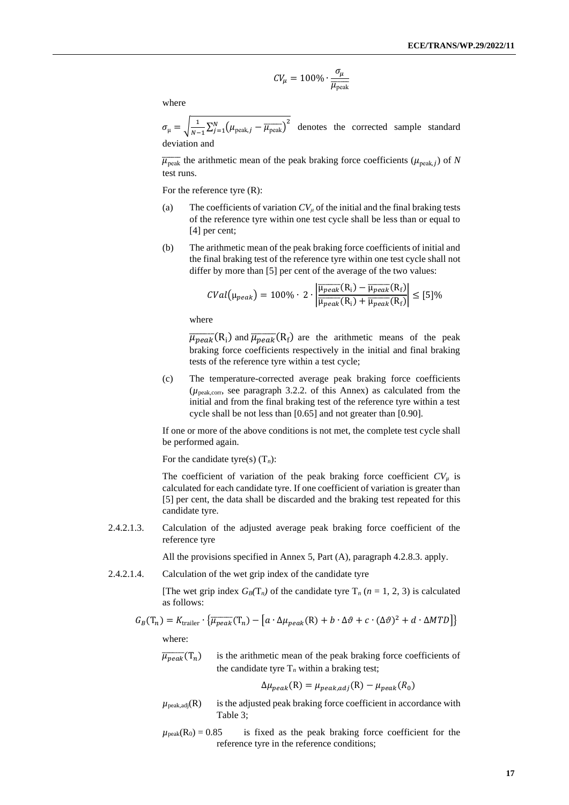$$
CV_{\mu} = 100\% \cdot \frac{\sigma_{\mu}}{\overline{\mu_{\text{peak}}}}
$$

where

$$
\sigma_{\mu} = \sqrt{\frac{1}{N-1} \sum_{j=1}^{N} (\mu_{\text{peak},j} - \overline{\mu_{\text{peak}}})^2}
$$
 denotes the corrected sample standard deviation and

 $\overline{\mu_{\text{peak}}}$  the arithmetic mean of the peak braking force coefficients ( $\mu_{\text{peak},j}$ ) of *N* test runs.

For the reference tyre (R):

- (a) The coefficients of variation  $CV_\mu$  of the initial and the final braking tests of the reference tyre within one test cycle shall be less than or equal to [4] per cent;
- (b) The arithmetic mean of the peak braking force coefficients of initial and the final braking test of the reference tyre within one test cycle shall not differ by more than [5] per cent of the average of the two values:

$$
CVal(\mu_{peak}) = 100\% \cdot 2 \cdot \left| \frac{\overline{\mu_{peak}(R_i)} - \overline{\mu_{peak}(R_f)}}{\overline{\mu_{peak}(R_i)} + \overline{\mu_{peak}(R_f)}} \right| \leq [5]\%
$$

where

 $\overline{\mu_{peak}}(R_i)$  and  $\overline{\mu_{peak}}(R_f)$  are the arithmetic means of the peak braking force coefficients respectively in the initial and final braking tests of the reference tyre within a test cycle;

(c) The temperature-corrected average peak braking force coefficients (*µ*peak,corr, see paragraph 3.2.2. of this Annex) as calculated from the initial and from the final braking test of the reference tyre within a test cycle shall be not less than [0.65] and not greater than [0.90].

If one or more of the above conditions is not met, the complete test cycle shall be performed again.

For the candidate tyre(s) (T*n*):

The coefficient of variation of the peak braking force coefficient  $CV_\mu$  is calculated for each candidate tyre. If one coefficient of variation is greater than [5] per cent, the data shall be discarded and the braking test repeated for this candidate tyre.

2.4.2.1.3. Calculation of the adjusted average peak braking force coefficient of the reference tyre

All the provisions specified in Annex 5, Part (A), paragraph 4.2.8.3. apply.

2.4.2.1.4. Calculation of the wet grip index of the candidate tyre

[The wet grip index  $G_B(T_n)$  of the candidate tyre  $T_n$  ( $n = 1, 2, 3$ ) is calculated as follows:

$$
G_B(T_n) = K_{\text{trainer}} \cdot \{ \overline{\mu_{peak}}(T_n) - [a \cdot \Delta \mu_{peak}(R) + b \cdot \Delta \vartheta + c \cdot (\Delta \vartheta)^2 + d \cdot \Delta MTD] \}
$$
  
where:

 $\overline{\mu_{peak}}(T_n)$  is the arithmetic mean of the peak braking force coefficients of the candidate tyre  $T<sub>n</sub>$  within a braking test;

 $\Delta \mu_{peak}(R) = \mu_{peak,adj}(R) - \mu_{peak}(R_0)$ 

- $\mu_{\text{peak,adj}}(R)$  is the adjusted peak braking force coefficient in accordance with Table 3;
- $\mu_{\text{peak}}(R_0) = 0.85$  is fixed as the peak braking force coefficient for the reference tyre in the reference conditions;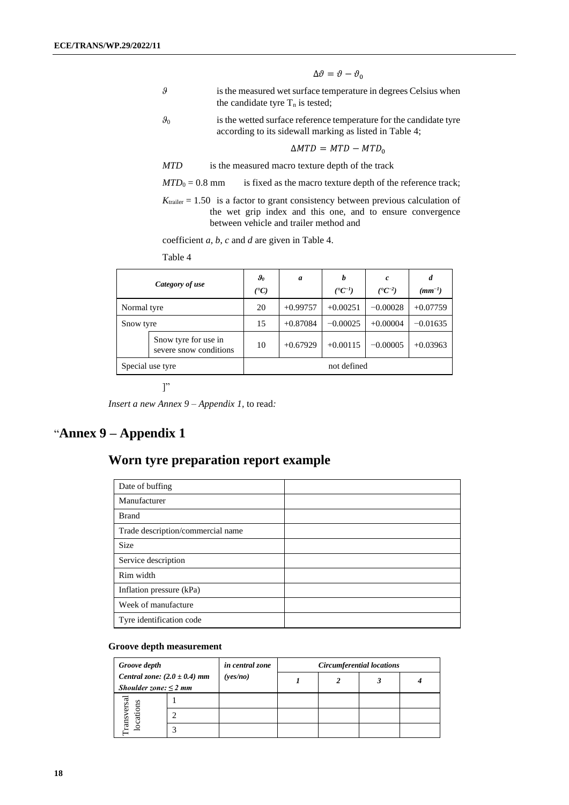$$
\Delta\vartheta=\vartheta-\vartheta_0
$$

- *ϑ* is the measured wet surface temperature in degrees Celsius when the candidate tyre  $T_n$  is tested;
- $\theta_0$  is the wetted surface reference temperature for the candidate tyre according to its sidewall marking as listed in Table 4;

$$
\Delta MTD = MTD - MTD_0
$$

*MTD* is the measured macro texture depth of the track

 $MTD_0 = 0.8$  mm is fixed as the macro texture depth of the reference track;

 $K_{\text{trailer}} = 1.50$  is a factor to grant consistency between previous calculation of the wet grip index and this one, and to ensure convergence between vehicle and trailer method and

coefficient *a*, *b*, *c* and *d* are given in Table 4.

Table 4

| Category of use  |                                                | $\boldsymbol{\vartheta_{0}}$<br>(°C) | $\boldsymbol{a}$ | b<br>$({}^{\bullet}C^{-1})$ | c<br>$({}^{\bullet}C^{-2})$ | d<br>$(mm^{-1})$ |
|------------------|------------------------------------------------|--------------------------------------|------------------|-----------------------------|-----------------------------|------------------|
| Normal tyre      |                                                | 20                                   | $+0.99757$       | $+0.00251$                  | $-0.00028$                  | $+0.07759$       |
| Snow tyre        |                                                | 15                                   | $+0.87084$       | $-0.00025$                  | $+0.00004$                  | $-0.01635$       |
|                  | Snow tyre for use in<br>severe snow conditions | 10                                   | $+0.67929$       | $+0.00115$                  | $-0.00005$                  | $+0.03963$       |
| Special use tyre |                                                |                                      |                  | not defined                 |                             |                  |

 $\mathbb{I}^"$ 

*Insert a new Annex 9 – Appendix 1,* to read*:*

## "**Annex 9 – Appendix 1**

## **Worn tyre preparation report example**

| Date of buffing                   |  |
|-----------------------------------|--|
| Manufacturer                      |  |
| <b>Brand</b>                      |  |
| Trade description/commercial name |  |
| <b>Size</b>                       |  |
| Service description               |  |
| Rim width                         |  |
| Inflation pressure (kPa)          |  |
| Week of manufacture               |  |
| Tyre identification code          |  |

#### **Groove depth measurement**

| Groove depth<br>Central zone: $(2.0 \pm 0.4)$ mm<br>Shoulder zone: $\leq$ 2 mm |  | in central zone | Circumferential locations |  |  |  |
|--------------------------------------------------------------------------------|--|-----------------|---------------------------|--|--|--|
|                                                                                |  | (yes/no)        |                           |  |  |  |
|                                                                                |  |                 |                           |  |  |  |
| ansversal<br>locations                                                         |  |                 |                           |  |  |  |
|                                                                                |  |                 |                           |  |  |  |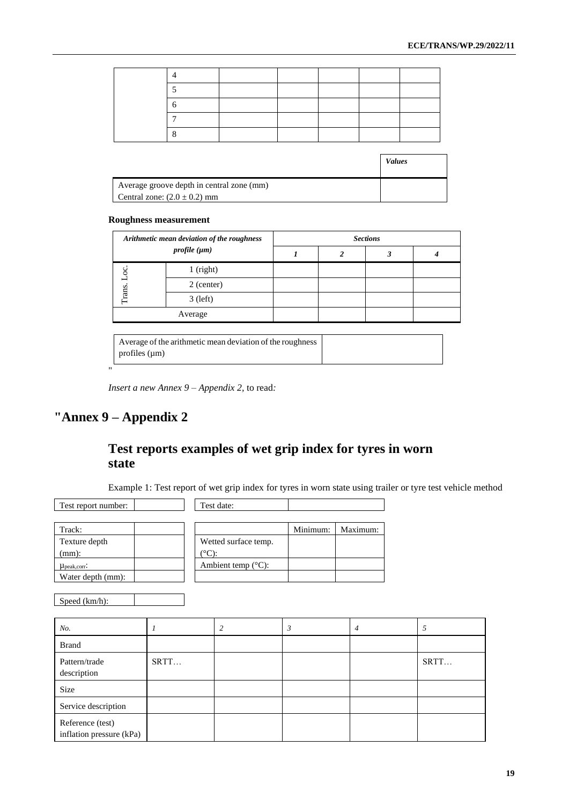|                                           | <b>Values</b> |
|-------------------------------------------|---------------|
| Average groove depth in central zone (mm) |               |
| Central zone: $(2.0 \pm 0.2)$ mm          |               |

#### **Roughness measurement**

| Arithmetic mean deviation of the roughness<br>profile $(\mu m)$ |             | <b>Sections</b> |  |  |  |  |  |  |
|-----------------------------------------------------------------|-------------|-----------------|--|--|--|--|--|--|
|                                                                 |             |                 |  |  |  |  |  |  |
| Trans                                                           | $1$ (right) |                 |  |  |  |  |  |  |
|                                                                 | 2 (center)  |                 |  |  |  |  |  |  |
|                                                                 | $3$ (left)  |                 |  |  |  |  |  |  |
| Average                                                         |             |                 |  |  |  |  |  |  |

| Average of the arithmetic mean deviation of the roughness |
|-----------------------------------------------------------|
| profiles $(\mu m)$                                        |

*Insert a new Annex 9 – Appendix 2,* to read*:*

# **"Annex 9 – Appendix 2**

"

## **Test reports examples of wet grip index for tyres in worn state**

Example 1: Test report of wet grip index for tyres in worn state using trailer or tyre test vehicle method

| Test date:                   |          |          |
|------------------------------|----------|----------|
|                              | Minimum: | Maximum: |
| Wetted surface temp.         |          |          |
| (°C):                        |          |          |
| Ambient temp $(^{\circ}C)$ : |          |          |
|                              |          |          |
|                              |          |          |

Speed (km/h):

| No.                                          |      | 3 | 4 |      |
|----------------------------------------------|------|---|---|------|
| <b>Brand</b>                                 |      |   |   |      |
| Pattern/trade<br>description                 | SRTT |   |   | SRTT |
| Size                                         |      |   |   |      |
| Service description                          |      |   |   |      |
| Reference (test)<br>inflation pressure (kPa) |      |   |   |      |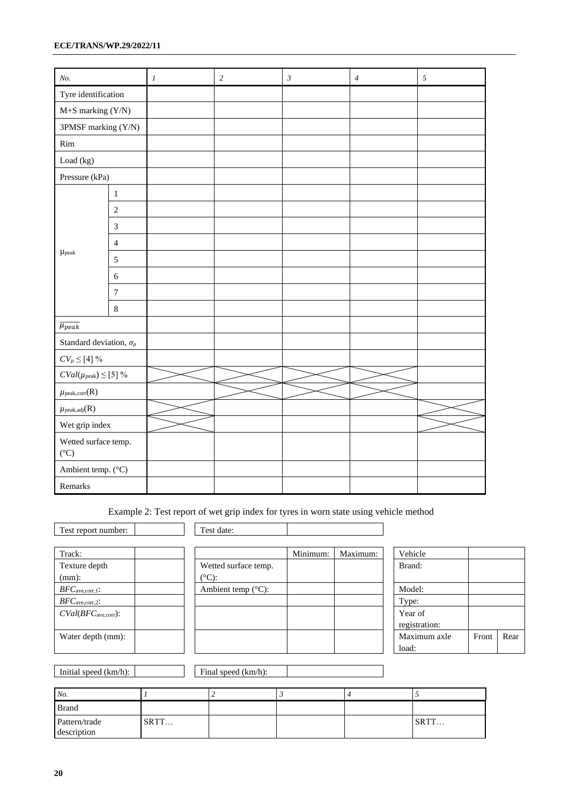| No.                                     |                | $\boldsymbol{l}$ | $\sqrt{2}$ | $\mathfrak{z}$ | $\ensuremath{\mathnormal{4}}$ | $\sqrt{5}$ |
|-----------------------------------------|----------------|------------------|------------|----------------|-------------------------------|------------|
| Tyre identification                     |                |                  |            |                |                               |            |
| $M + S$ marking $(Y/N)$                 |                |                  |            |                |                               |            |
| 3PMSF marking (Y/N)                     |                |                  |            |                |                               |            |
| Rim                                     |                |                  |            |                |                               |            |
| Load (kg)                               |                |                  |            |                |                               |            |
| Pressure (kPa)                          |                |                  |            |                |                               |            |
|                                         | $\,1$          |                  |            |                |                               |            |
|                                         | $\sqrt{2}$     |                  |            |                |                               |            |
|                                         | $\mathfrak 3$  |                  |            |                |                               |            |
|                                         | $\overline{4}$ |                  |            |                |                               |            |
| $\mu_{\textrm{peak}}$                   | $\sqrt{5}$     |                  |            |                |                               |            |
|                                         | $\sqrt{6}$     |                  |            |                |                               |            |
|                                         | $\tau$         |                  |            |                |                               |            |
|                                         | $\,8\,$        |                  |            |                |                               |            |
| $\overline{\mu_{peak}}$                 |                |                  |            |                |                               |            |
| Standard deviation, $\sigma_\mu$        |                |                  |            |                |                               |            |
| $CV_{\mu} \leq [4]~\%$                  |                |                  |            |                |                               |            |
| $CVal(\mu_{peak}) \leq [5] \%$          |                |                  |            |                |                               |            |
| $\mu_{\textrm{peak,corr}}(R)$           |                |                  |            |                |                               |            |
| $\mu_{\textrm{peak,adj}}(R)$            |                |                  |            |                |                               |            |
| Wet grip index                          |                |                  |            |                |                               |            |
| Wetted surface temp.<br>$({}^{\circ}C)$ |                |                  |            |                |                               |            |
| Ambient temp. (°C)                      |                |                  |            |                |                               |            |
| Remarks                                 |                |                  |            |                |                               |            |

Example 2: Test report of wet grip index for tyres in worn state using vehicle method

| Wetted sur      |
|-----------------|
| $(^{\circ}C)$ : |
| Ambient to      |
|                 |
|                 |
|                 |
|                 |

| Track:                      |                                           | Minimum: | Maximum: | Vehicle                  |
|-----------------------------|-------------------------------------------|----------|----------|--------------------------|
| Texture depth<br>$(mm)$ :   | Wetted surface temp.<br>$({}^{\circ}C)$ : |          |          | Brand:                   |
| $BFC_{\text{ave,corr},1}$ : | Ambient temp $(^{\circ}C)$ :              |          |          | Model:                   |
| $BFC_{\text{ave,corr,2}}$ : |                                           |          |          | Type:                    |
| $CVal(BFCave,corr)$ :       |                                           |          |          | Year of<br>registration: |
| Water depth (mm):           |                                           |          |          | Maximum axle<br>load:    |

| Vehicle       |       |      |
|---------------|-------|------|
| Brand:        |       |      |
|               |       |      |
| Model:        |       |      |
| Type:         |       |      |
| Year of       |       |      |
| registration: |       |      |
| Maximum axle  | Front | Rear |
| load:         |       |      |

Initial speed (km/h): Final speed (km/h):

| No.                          |      |  |      |
|------------------------------|------|--|------|
| <b>Brand</b>                 |      |  |      |
| Pattern/trade<br>description | SRTT |  | SRTT |